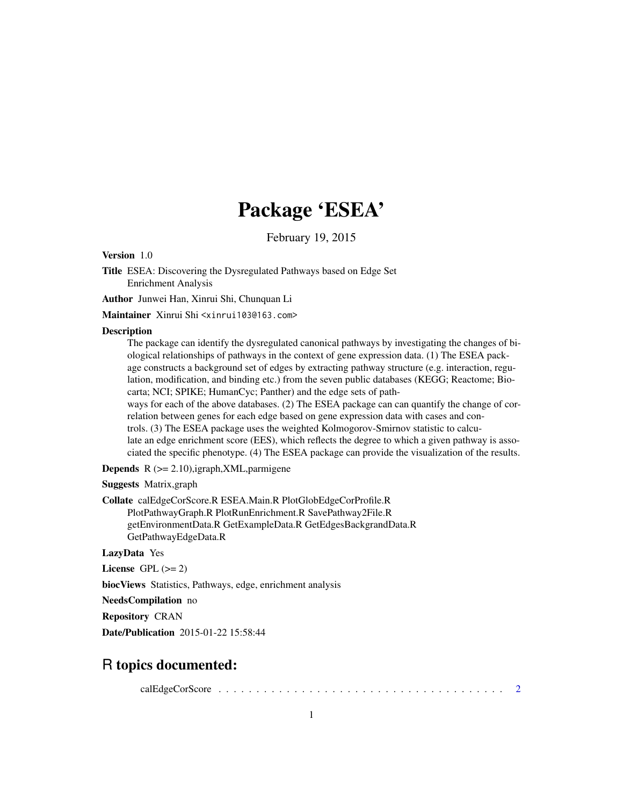## Package 'ESEA'

February 19, 2015

<span id="page-0-0"></span>Version 1.0

Title ESEA: Discovering the Dysregulated Pathways based on Edge Set Enrichment Analysis

Author Junwei Han, Xinrui Shi, Chunquan Li

Maintainer Xinrui Shi <xinrui103@163.com>

#### Description

The package can identify the dysregulated canonical pathways by investigating the changes of biological relationships of pathways in the context of gene expression data. (1) The ESEA package constructs a background set of edges by extracting pathway structure (e.g. interaction, regulation, modification, and binding etc.) from the seven public databases (KEGG; Reactome; Biocarta; NCI; SPIKE; HumanCyc; Panther) and the edge sets of pathways for each of the above databases. (2) The ESEA package can can quantify the change of correlation between genes for each edge based on gene expression data with cases and controls. (3) The ESEA package uses the weighted Kolmogorov-Smirnov statistic to calcu-

late an edge enrichment score (EES), which reflects the degree to which a given pathway is associated the specific phenotype. (4) The ESEA package can provide the visualization of the results.

**Depends**  $R$  ( $>= 2.10$ ),igraph, XML, parmigene

Suggests Matrix,graph

Collate calEdgeCorScore.R ESEA.Main.R PlotGlobEdgeCorProfile.R PlotPathwayGraph.R PlotRunEnrichment.R SavePathway2File.R getEnvironmentData.R GetExampleData.R GetEdgesBackgrandData.R GetPathwayEdgeData.R

LazyData Yes

License GPL  $(>= 2)$ 

biocViews Statistics, Pathways, edge, enrichment analysis

NeedsCompilation no

Repository CRAN

Date/Publication 2015-01-22 15:58:44

### R topics documented:

calEdgeCorScore . . . . . . . . . . . . . . . . . . . . . . . . . . . . . . . . . . . . . . [2](#page-1-0)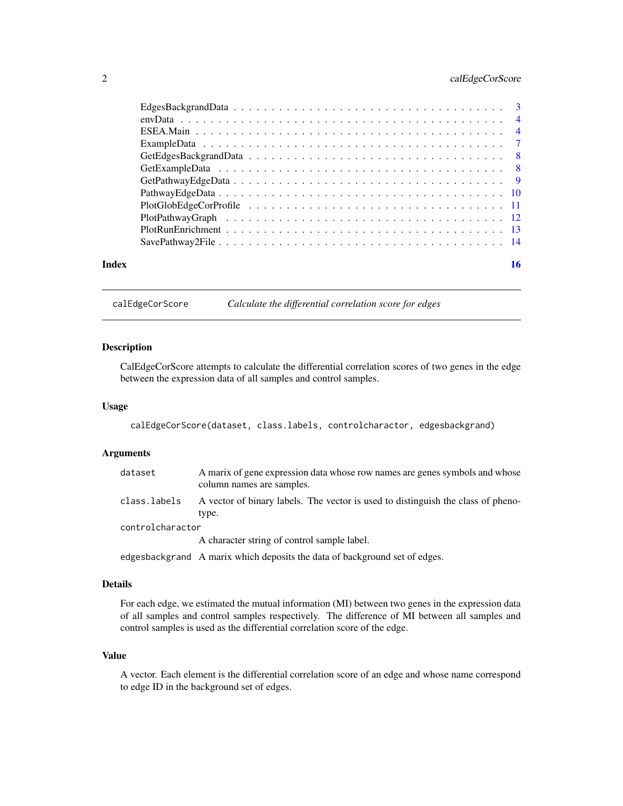#### <span id="page-1-0"></span>2 calEdgeCorScore

| Index | 16 |
|-------|----|

calEdgeCorScore *Calculate the differential correlation score for edges*

#### **Description**

CalEdgeCorScore attempts to calculate the differential correlation scores of two genes in the edge between the expression data of all samples and control samples.

#### Usage

calEdgeCorScore(dataset, class.labels, controlcharactor, edgesbackgrand)

#### Arguments

| dataset          | A marix of gene expression data whose row names are genes symbols and whose<br>column names are samples. |
|------------------|----------------------------------------------------------------------------------------------------------|
| class.labels     | A vector of binary labels. The vector is used to distinguish the class of pheno-<br>type.                |
| controlcharactor |                                                                                                          |
|                  | A character string of control sample label.                                                              |
|                  |                                                                                                          |

edgesbackgrand A marix which deposits the data of background set of edges.

#### Details

For each edge, we estimated the mutual information (MI) between two genes in the expression data of all samples and control samples respectively. The difference of MI between all samples and control samples is used as the differential correlation score of the edge.

#### Value

A vector. Each element is the differential correlation score of an edge and whose name correspond to edge ID in the background set of edges.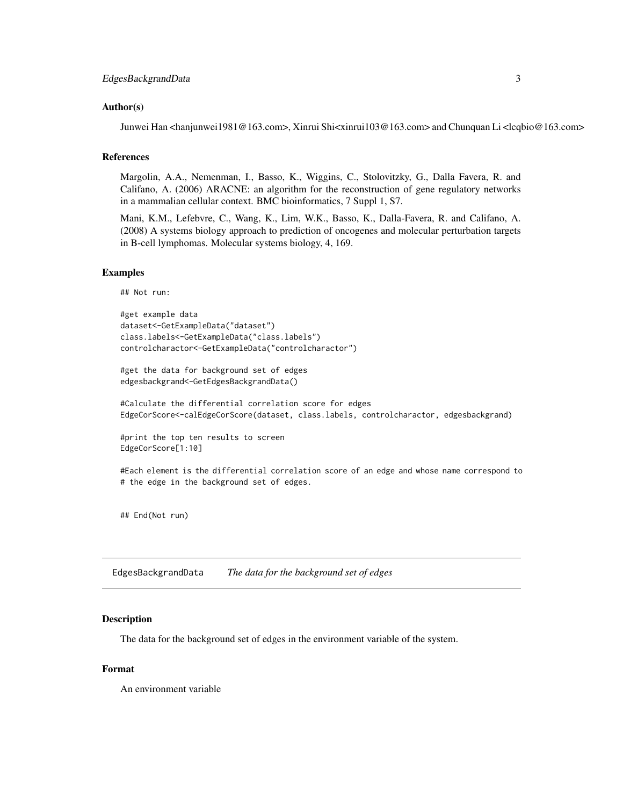#### <span id="page-2-0"></span>Author(s)

Junwei Han <hanjunwei1981@163.com>, Xinrui Shi<xinrui103@163.com> and Chunquan Li <lcqbio@163.com>

#### References

Margolin, A.A., Nemenman, I., Basso, K., Wiggins, C., Stolovitzky, G., Dalla Favera, R. and Califano, A. (2006) ARACNE: an algorithm for the reconstruction of gene regulatory networks in a mammalian cellular context. BMC bioinformatics, 7 Suppl 1, S7.

Mani, K.M., Lefebvre, C., Wang, K., Lim, W.K., Basso, K., Dalla-Favera, R. and Califano, A. (2008) A systems biology approach to prediction of oncogenes and molecular perturbation targets in B-cell lymphomas. Molecular systems biology, 4, 169.

#### Examples

## Not run:

```
#get example data
dataset<-GetExampleData("dataset")
class.labels<-GetExampleData("class.labels")
controlcharactor<-GetExampleData("controlcharactor")
```
#get the data for background set of edges edgesbackgrand<-GetEdgesBackgrandData()

#Calculate the differential correlation score for edges EdgeCorScore<-calEdgeCorScore(dataset, class.labels, controlcharactor, edgesbackgrand)

#print the top ten results to screen EdgeCorScore[1:10]

#Each element is the differential correlation score of an edge and whose name correspond to # the edge in the background set of edges.

## End(Not run)

EdgesBackgrandData *The data for the background set of edges*

#### Description

The data for the background set of edges in the environment variable of the system.

#### Format

An environment variable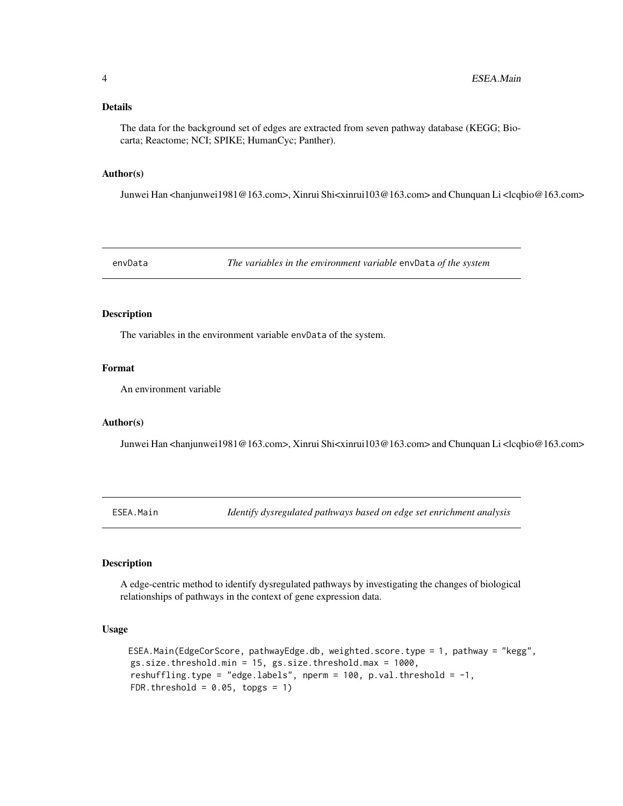#### <span id="page-3-0"></span>Details

The data for the background set of edges are extracted from seven pathway database (KEGG; Biocarta; Reactome; NCI; SPIKE; HumanCyc; Panther).

#### Author(s)

Junwei Han <hanjunwei1981@163.com>, Xinrui Shi<xinrui103@163.com> and Chunquan Li <lcqbio@163.com>

<span id="page-3-1"></span>envData *The variables in the environment variable* envData *of the system*

#### Description

The variables in the environment variable envData of the system.

#### Format

An environment variable

#### Author(s)

Junwei Han <hanjunwei1981@163.com>, Xinrui Shi<xinrui103@163.com> and Chunquan Li <lcqbio@163.com>

ESEA.Main *Identify dysregulated pathways based on edge set enrichment analysis*

#### Description

A edge-centric method to identify dysregulated pathways by investigating the changes of biological relationships of pathways in the context of gene expression data.

#### Usage

```
ESEA.Main(EdgeCorScore, pathwayEdge.db, weighted.score.type = 1, pathway = "kegg",
gs.size.threshold.min = 15, gs.size.threshold.max = 1000,
reshuffling.type = "edge.labels", nperm = 100, p.val.threshold = -1,
FDR.threshold = 0.05, topgs = 1)
```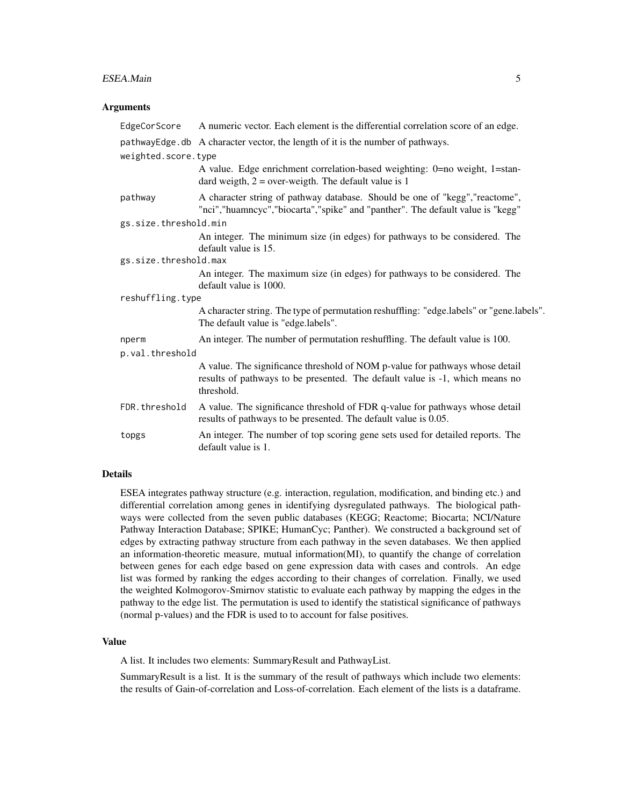#### ESEA.Main 5

#### **Arguments**

| EdgeCorScore          | A numeric vector. Each element is the differential correlation score of an edge.                                                                                           |
|-----------------------|----------------------------------------------------------------------------------------------------------------------------------------------------------------------------|
|                       | pathwayEdge.db A character vector, the length of it is the number of pathways.                                                                                             |
| weighted.score.type   |                                                                                                                                                                            |
|                       | A value. Edge enrichment correlation-based weighting: 0=no weight, 1=stan-<br>dard weigth, $2 = over-weight$ . The default value is 1                                      |
| pathway               | A character string of pathway database. Should be one of "kegg", "reactome",<br>"nci","huamncyc","biocarta","spike" and "panther". The default value is "kegg"             |
| gs.size.threshold.min |                                                                                                                                                                            |
|                       | An integer. The minimum size (in edges) for pathways to be considered. The<br>default value is 15.                                                                         |
| gs.size.threshold.max |                                                                                                                                                                            |
|                       | An integer. The maximum size (in edges) for pathways to be considered. The<br>default value is 1000.                                                                       |
| reshuffling.type      |                                                                                                                                                                            |
|                       | A character string. The type of permutation reshuffling: "edge.labels" or "gene.labels".<br>The default value is "edge.labels".                                            |
| nperm                 | An integer. The number of permutation reshuffling. The default value is 100.                                                                                               |
| p.val.threshold       |                                                                                                                                                                            |
|                       | A value. The significance threshold of NOM p-value for pathways whose detail<br>results of pathways to be presented. The default value is -1, which means no<br>threshold. |
| FDR.threshold         | A value. The significance threshold of FDR q-value for pathways whose detail<br>results of pathways to be presented. The default value is 0.05.                            |
| topgs                 | An integer. The number of top scoring gene sets used for detailed reports. The<br>default value is 1.                                                                      |

#### Details

ESEA integrates pathway structure (e.g. interaction, regulation, modification, and binding etc.) and differential correlation among genes in identifying dysregulated pathways. The biological pathways were collected from the seven public databases (KEGG; Reactome; Biocarta; NCI/Nature Pathway Interaction Database; SPIKE; HumanCyc; Panther). We constructed a background set of edges by extracting pathway structure from each pathway in the seven databases. We then applied an information-theoretic measure, mutual information(MI), to quantify the change of correlation between genes for each edge based on gene expression data with cases and controls. An edge list was formed by ranking the edges according to their changes of correlation. Finally, we used the weighted Kolmogorov-Smirnov statistic to evaluate each pathway by mapping the edges in the pathway to the edge list. The permutation is used to identify the statistical significance of pathways (normal p-values) and the FDR is used to to account for false positives.

#### Value

A list. It includes two elements: SummaryResult and PathwayList.

SummaryResult is a list. It is the summary of the result of pathways which include two elements: the results of Gain-of-correlation and Loss-of-correlation. Each element of the lists is a dataframe.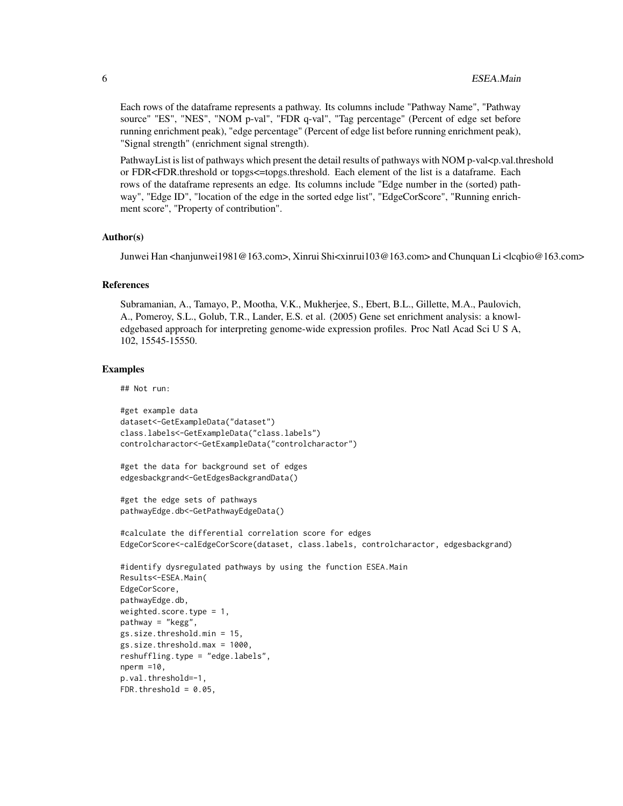Each rows of the dataframe represents a pathway. Its columns include "Pathway Name", "Pathway source" "ES", "NES", "NOM p-val", "FDR q-val", "Tag percentage" (Percent of edge set before running enrichment peak), "edge percentage" (Percent of edge list before running enrichment peak), "Signal strength" (enrichment signal strength).

PathwayList is list of pathways which present the detail results of pathways with NOM p-val<p.val.threshold or FDR<FDR.threshold or topgs<=topgs.threshold. Each element of the list is a dataframe. Each rows of the dataframe represents an edge. Its columns include "Edge number in the (sorted) pathway", "Edge ID", "location of the edge in the sorted edge list", "EdgeCorScore", "Running enrichment score", "Property of contribution".

#### Author(s)

Junwei Han <hanjunwei1981@163.com>, Xinrui Shi<xinrui103@163.com> and Chunquan Li <lcqbio@163.com>

#### References

Subramanian, A., Tamayo, P., Mootha, V.K., Mukherjee, S., Ebert, B.L., Gillette, M.A., Paulovich, A., Pomeroy, S.L., Golub, T.R., Lander, E.S. et al. (2005) Gene set enrichment analysis: a knowledgebased approach for interpreting genome-wide expression profiles. Proc Natl Acad Sci U S A, 102, 15545-15550.

#### Examples

## Not run:

```
#get example data
dataset<-GetExampleData("dataset")
class.labels<-GetExampleData("class.labels")
controlcharactor<-GetExampleData("controlcharactor")
```

```
#get the data for background set of edges
edgesbackgrand<-GetEdgesBackgrandData()
```

```
#get the edge sets of pathways
pathwayEdge.db<-GetPathwayEdgeData()
```
#calculate the differential correlation score for edges EdgeCorScore<-calEdgeCorScore(dataset, class.labels, controlcharactor, edgesbackgrand)

```
#identify dysregulated pathways by using the function ESEA.Main
Results<-ESEA.Main(
EdgeCorScore,
pathwayEdge.db,
weighted.score.type = 1,
pathway = "kegg",
gs.size.threshold.min = 15,
gs.size.threshold.max = 1000,
reshuffling.type = "edge.labels",
nperm =10,
p.val.threshold=-1,
FDR.threshold = 0.05,
```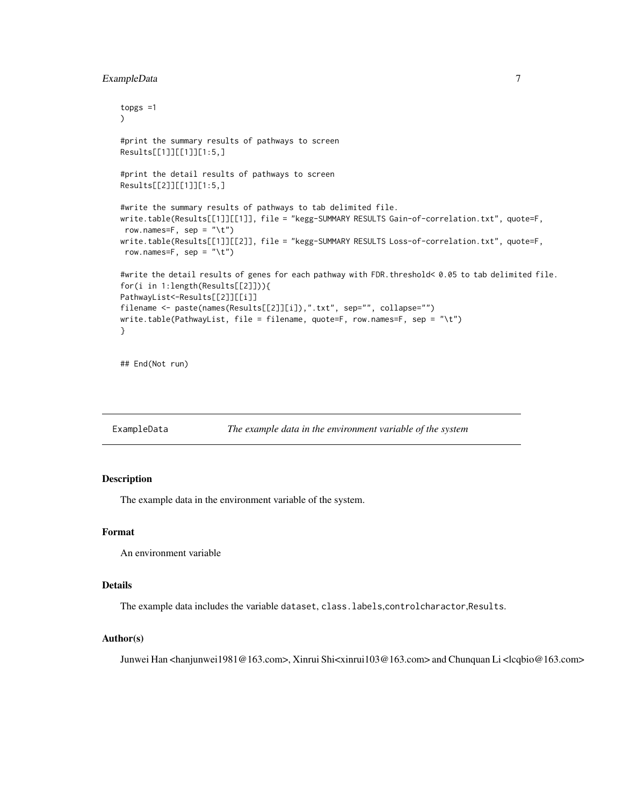#### <span id="page-6-0"></span>ExampleData 7

```
topgs =1
\mathcal{L}#print the summary results of pathways to screen
Results[[1]][[1]][1:5,]
#print the detail results of pathways to screen
Results[[2]][[1]][1:5,]
#write the summary results of pathways to tab delimited file.
write.table(Results[[1]][[1]], file = "kegg-SUMMARY RESULTS Gain-of-correlation.txt", quote=F,
row.names=F, sep = "\t")
write.table(Results[[1]][[2]], file = "kegg-SUMMARY RESULTS Loss-of-correlation.txt", quote=F,
row.names=F, sep = "\iota")
#write the detail results of genes for each pathway with FDR.threshold< 0.05 to tab delimited file.
for(i in 1:length(Results[[2]])){
PathwayList<-Results[[2]][[i]]
filename <- paste(names(Results[[2]][i]),".txt", sep="", collapse="")
write.table(PathwayList, file = filename, quote=F, row.names=F, sep = "\t")
}
```
## End(Not run)

ExampleData *The example data in the environment variable of the system*

#### Description

The example data in the environment variable of the system.

#### Format

An environment variable

#### Details

The example data includes the variable dataset, class.labels,controlcharactor,Results.

#### Author(s)

Junwei Han <hanjunwei1981@163.com>, Xinrui Shi<xinrui103@163.com> and Chunquan Li <lcqbio@163.com>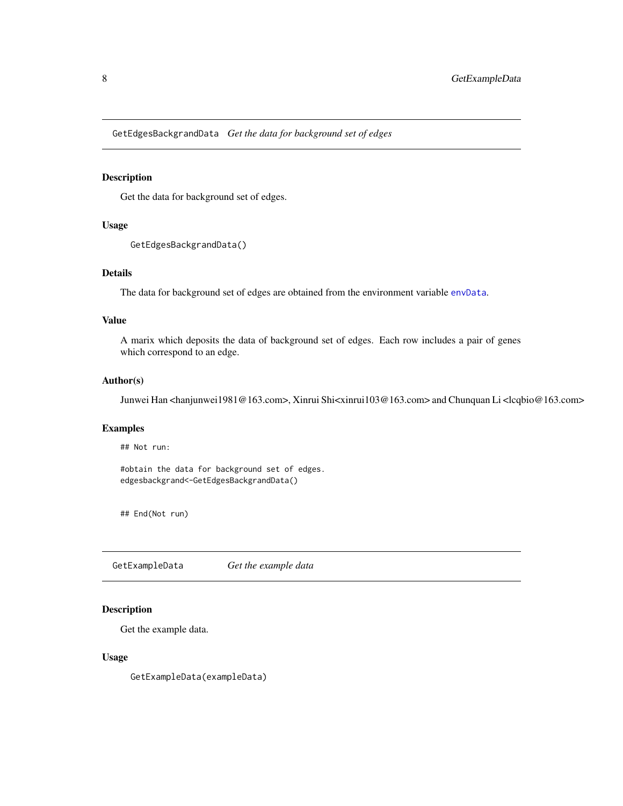<span id="page-7-0"></span>GetEdgesBackgrandData *Get the data for background set of edges*

#### Description

Get the data for background set of edges.

#### Usage

```
GetEdgesBackgrandData()
```
#### Details

The data for background set of edges are obtained from the environment variable [envData](#page-3-1).

#### Value

A marix which deposits the data of background set of edges. Each row includes a pair of genes which correspond to an edge.

#### Author(s)

Junwei Han <hanjunwei1981@163.com>, Xinrui Shi<xinrui103@163.com> and Chunquan Li <lcqbio@163.com>

#### Examples

## Not run:

#obtain the data for background set of edges. edgesbackgrand<-GetEdgesBackgrandData()

## End(Not run)

GetExampleData *Get the example data*

#### Description

Get the example data.

#### Usage

GetExampleData(exampleData)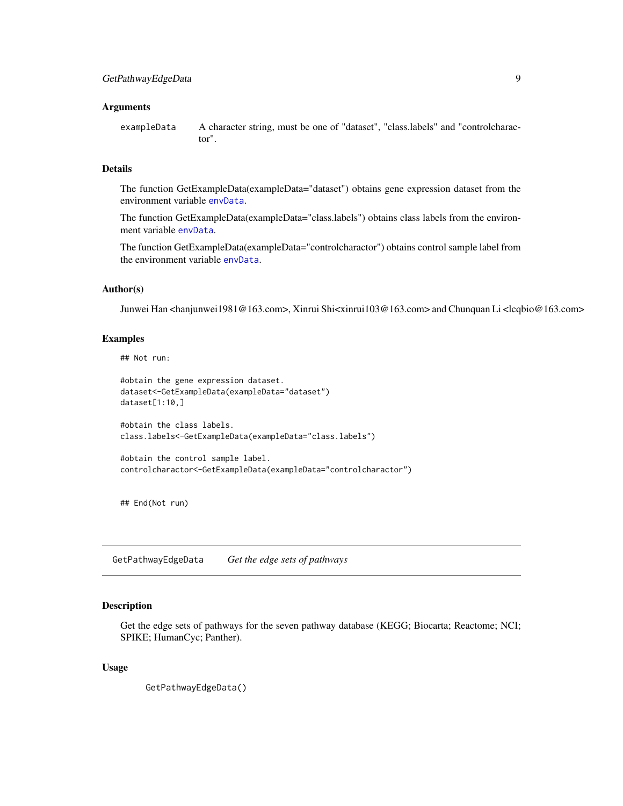#### <span id="page-8-0"></span>**Arguments**

exampleData A character string, must be one of "dataset", "class.labels" and "controlcharactor".

#### Details

The function GetExampleData(exampleData="dataset") obtains gene expression dataset from the environment variable [envData](#page-3-1).

The function GetExampleData(exampleData="class.labels") obtains class labels from the environment variable [envData](#page-3-1).

The function GetExampleData(exampleData="controlcharactor") obtains control sample label from the environment variable [envData](#page-3-1).

#### Author(s)

Junwei Han <hanjunwei1981@163.com>, Xinrui Shi<xinrui103@163.com> and Chunquan Li <lcqbio@163.com>

#### Examples

## Not run:

```
#obtain the gene expression dataset.
dataset<-GetExampleData(exampleData="dataset")
dataset[1:10,]
```

```
#obtain the class labels.
class.labels<-GetExampleData(exampleData="class.labels")
```

```
#obtain the control sample label.
controlcharactor<-GetExampleData(exampleData="controlcharactor")
```
## End(Not run)

GetPathwayEdgeData *Get the edge sets of pathways*

#### Description

Get the edge sets of pathways for the seven pathway database (KEGG; Biocarta; Reactome; NCI; SPIKE; HumanCyc; Panther).

#### Usage

GetPathwayEdgeData()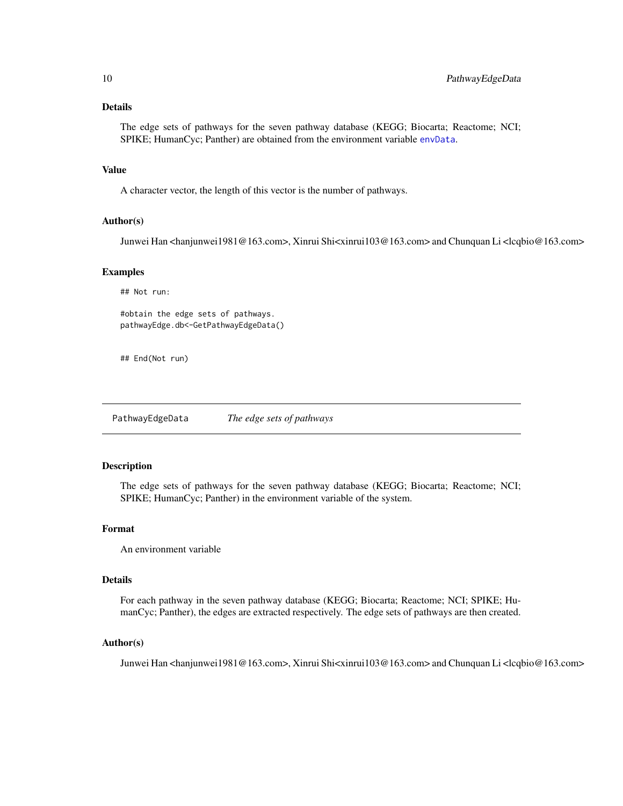#### <span id="page-9-0"></span>Details

The edge sets of pathways for the seven pathway database (KEGG; Biocarta; Reactome; NCI; SPIKE; HumanCyc; Panther) are obtained from the environment variable [envData](#page-3-1).

#### Value

A character vector, the length of this vector is the number of pathways.

#### Author(s)

Junwei Han <hanjunwei1981@163.com>, Xinrui Shi<xinrui103@163.com> and Chunquan Li <lcqbio@163.com>

#### Examples

## Not run:

#obtain the edge sets of pathways. pathwayEdge.db<-GetPathwayEdgeData()

## End(Not run)

PathwayEdgeData *The edge sets of pathways*

#### Description

The edge sets of pathways for the seven pathway database (KEGG; Biocarta; Reactome; NCI; SPIKE; HumanCyc; Panther) in the environment variable of the system.

#### Format

An environment variable

#### Details

For each pathway in the seven pathway database (KEGG; Biocarta; Reactome; NCI; SPIKE; HumanCyc; Panther), the edges are extracted respectively. The edge sets of pathways are then created.

#### Author(s)

Junwei Han <hanjunwei1981@163.com>, Xinrui Shi<xinrui103@163.com> and Chunquan Li <lcqbio@163.com>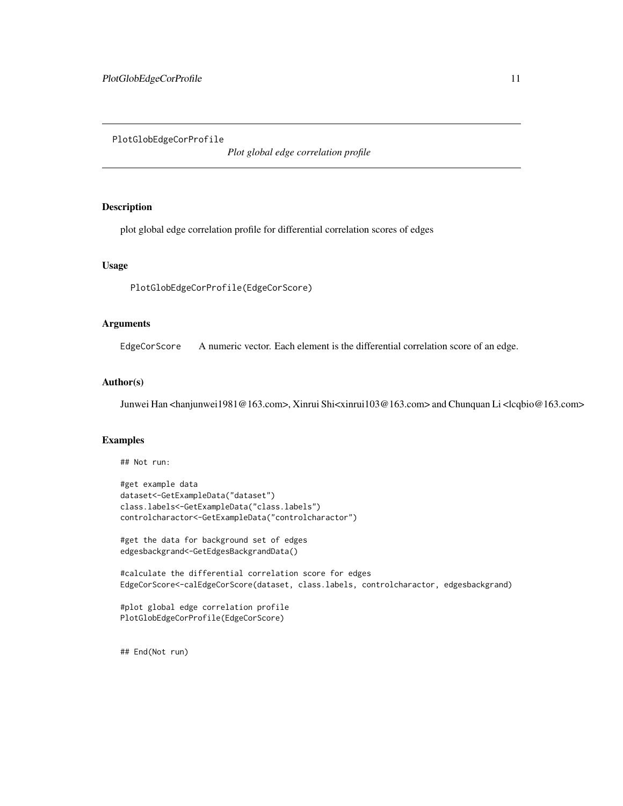<span id="page-10-0"></span>PlotGlobEdgeCorProfile

*Plot global edge correlation profile*

#### Description

plot global edge correlation profile for differential correlation scores of edges

#### Usage

PlotGlobEdgeCorProfile(EdgeCorScore)

#### Arguments

EdgeCorScore A numeric vector. Each element is the differential correlation score of an edge.

#### Author(s)

Junwei Han <hanjunwei1981@163.com>, Xinrui Shi<xinrui103@163.com> and Chunquan Li <lcqbio@163.com>

#### Examples

## Not run:

```
#get example data
dataset<-GetExampleData("dataset")
class.labels<-GetExampleData("class.labels")
controlcharactor<-GetExampleData("controlcharactor")
```

```
#get the data for background set of edges
edgesbackgrand<-GetEdgesBackgrandData()
```

```
#calculate the differential correlation score for edges
EdgeCorScore<-calEdgeCorScore(dataset, class.labels, controlcharactor, edgesbackgrand)
```

```
#plot global edge correlation profile
PlotGlobEdgeCorProfile(EdgeCorScore)
```
## End(Not run)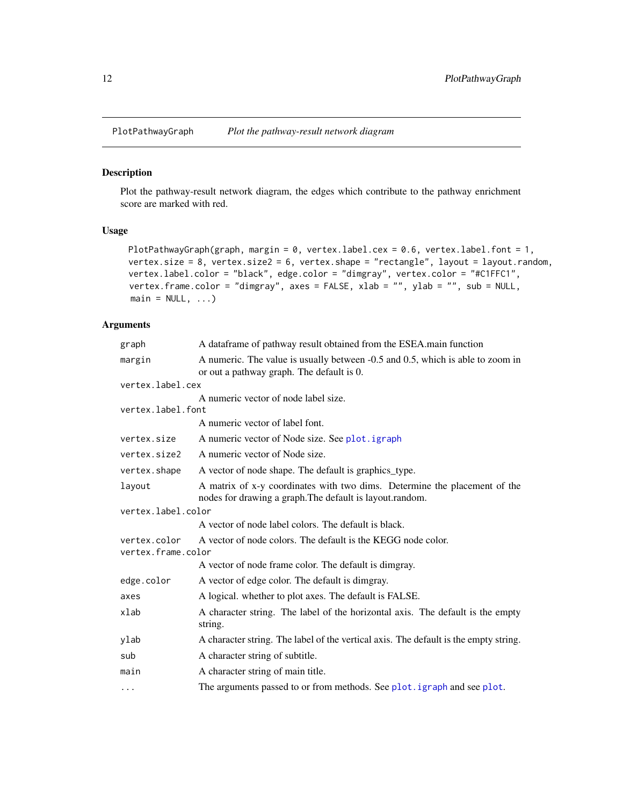<span id="page-11-0"></span>

#### Description

Plot the pathway-result network diagram, the edges which contribute to the pathway enrichment score are marked with red.

#### Usage

```
PlotPathwayGraph(graph, margin = 0, vertex.label.cex = 0.6, vertex.label.font = 1,
vertex.size = 8, vertex.size2 = 6, vertex.shape = "rectangle", layout = layout.random,
vertex.label.color = "black", edge.color = "dimgray", vertex.color = "#C1FFC1",
vertex.frame.color = "dimgray", axes = FALSE, xlab = "", ylab = "", sub = NULL,
main = NULL, ...
```
#### Arguments

| graph                              | A dataframe of pathway result obtained from the ESEA main function                                                                    |
|------------------------------------|---------------------------------------------------------------------------------------------------------------------------------------|
| margin                             | A numeric. The value is usually between -0.5 and 0.5, which is able to zoom in<br>or out a pathway graph. The default is 0.           |
| vertex.label.cex                   |                                                                                                                                       |
|                                    | A numeric vector of node label size.                                                                                                  |
| vertex.label.font                  |                                                                                                                                       |
|                                    | A numeric vector of label font.                                                                                                       |
| vertex.size                        | A numeric vector of Node size. See plot. igraph                                                                                       |
| vertex.size2                       | A numeric vector of Node size.                                                                                                        |
| vertex.shape                       | A vector of node shape. The default is graphics_type.                                                                                 |
| layout                             | A matrix of x-y coordinates with two dims. Determine the placement of the<br>nodes for drawing a graph. The default is layout.random. |
| vertex.label.color                 |                                                                                                                                       |
|                                    | A vector of node label colors. The default is black.                                                                                  |
| vertex.color<br>vertex.frame.color | A vector of node colors. The default is the KEGG node color.                                                                          |
|                                    | A vector of node frame color. The default is dimgray.                                                                                 |
| edge.color                         | A vector of edge color. The default is dimgray.                                                                                       |
| axes                               | A logical. whether to plot axes. The default is FALSE.                                                                                |
| xlab                               | A character string. The label of the horizontal axis. The default is the empty<br>string.                                             |
| ylab                               | A character string. The label of the vertical axis. The default is the empty string.                                                  |
| sub                                | A character string of subtitle.                                                                                                       |
| main                               | A character string of main title.                                                                                                     |
| $\cdots$                           | The arguments passed to or from methods. See plot. igraph and see plot.                                                               |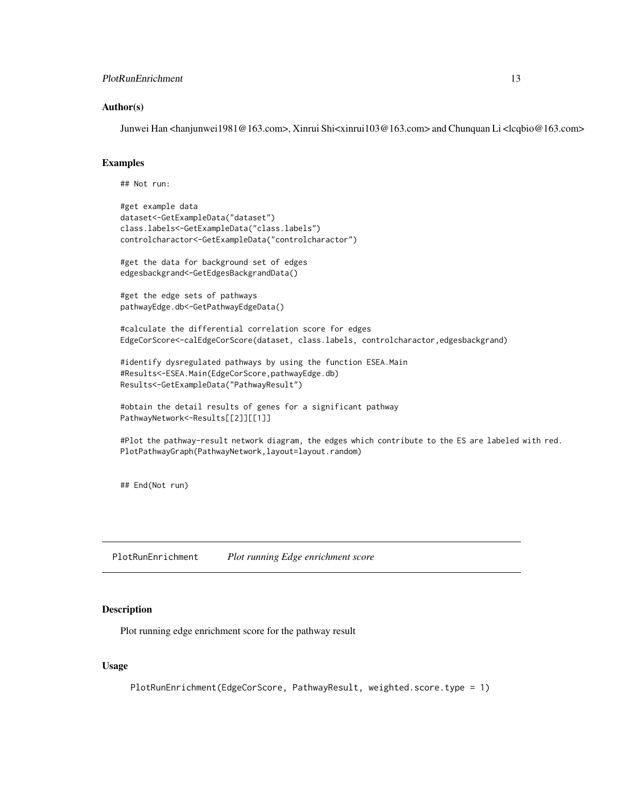#### <span id="page-12-0"></span>PlotRunEnrichment 13

#### Author(s)

Junwei Han <hanjunwei1981@163.com>, Xinrui Shi<xinrui103@163.com> and Chunquan Li <lcqbio@163.com>

#### Examples

## Not run:

```
#get example data
dataset<-GetExampleData("dataset")
class.labels<-GetExampleData("class.labels")
controlcharactor<-GetExampleData("controlcharactor")
```
#get the data for background set of edges edgesbackgrand<-GetEdgesBackgrandData()

```
#get the edge sets of pathways
pathwayEdge.db<-GetPathwayEdgeData()
```
#calculate the differential correlation score for edges EdgeCorScore<-calEdgeCorScore(dataset, class.labels, controlcharactor,edgesbackgrand)

```
#identify dysregulated pathways by using the function ESEA.Main
#Results<-ESEA.Main(EdgeCorScore,pathwayEdge.db)
Results<-GetExampleData("PathwayResult")
```

```
#obtain the detail results of genes for a significant pathway
PathwayNetwork<-Results[[2]][[1]]
```

```
#Plot the pathway-result network diagram, the edges which contribute to the ES are labeled with red.
PlotPathwayGraph(PathwayNetwork,layout=layout.random)
```
## End(Not run)

PlotRunEnrichment *Plot running Edge enrichment score*

#### Description

Plot running edge enrichment score for the pathway result

#### Usage

PlotRunEnrichment(EdgeCorScore, PathwayResult, weighted.score.type = 1)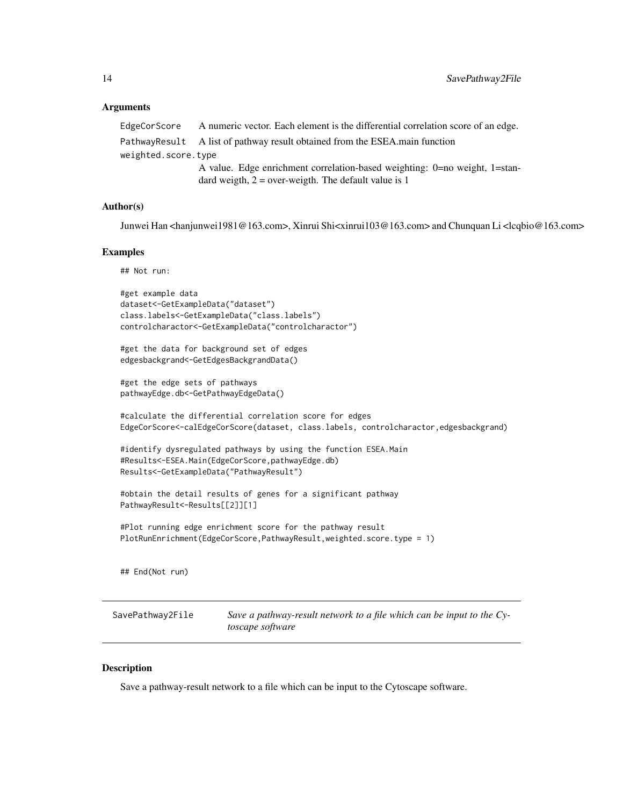#### <span id="page-13-0"></span>Arguments

EdgeCorScore A numeric vector. Each element is the differential correlation score of an edge. PathwayResult A list of pathway result obtained from the ESEA main function weighted.score.type A value. Edge enrichment correlation-based weighting: 0=no weight, 1=standard weigth,  $2 = over-weight$ . The default value is 1

#### Author(s)

Junwei Han <hanjunwei1981@163.com>, Xinrui Shi<xinrui103@163.com> and Chunquan Li <lcqbio@163.com>

#### Examples

## Not run:

```
#get example data
dataset<-GetExampleData("dataset")
class.labels<-GetExampleData("class.labels")
controlcharactor<-GetExampleData("controlcharactor")
```

```
#get the data for background set of edges
edgesbackgrand<-GetEdgesBackgrandData()
```

```
#get the edge sets of pathways
pathwayEdge.db<-GetPathwayEdgeData()
```

```
#calculate the differential correlation score for edges
EdgeCorScore<-calEdgeCorScore(dataset, class.labels, controlcharactor,edgesbackgrand)
```

```
#identify dysregulated pathways by using the function ESEA.Main
#Results<-ESEA.Main(EdgeCorScore,pathwayEdge.db)
Results<-GetExampleData("PathwayResult")
```

```
#obtain the detail results of genes for a significant pathway
PathwayResult<-Results[[2]][1]
```

```
#Plot running edge enrichment score for the pathway result
PlotRunEnrichment(EdgeCorScore,PathwayResult,weighted.score.type = 1)
```
## End(Not run)

SavePathway2File *Save a pathway-result network to a file which can be input to the Cytoscape software*

#### Description

Save a pathway-result network to a file which can be input to the Cytoscape software.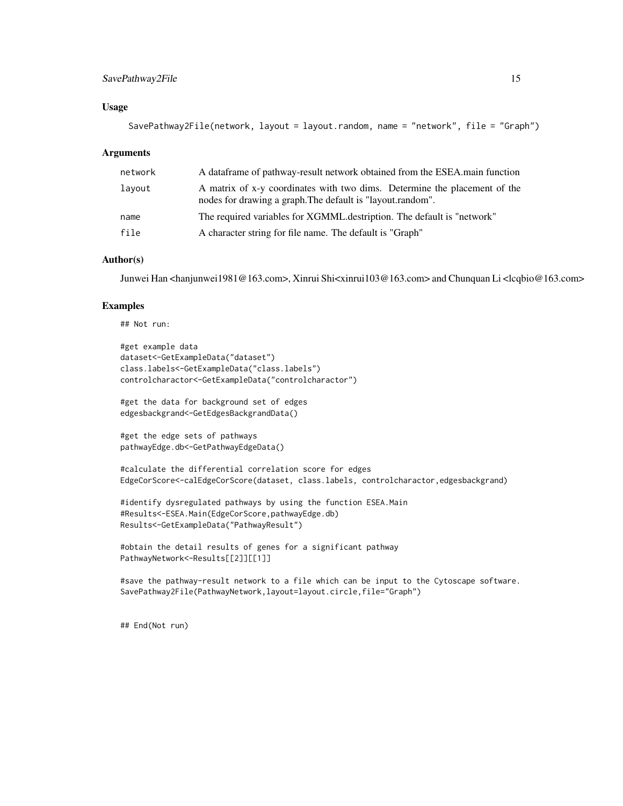#### SavePathway2File 15

#### Usage

```
SavePathway2File(network, layout = layout.random, name = "network", file = "Graph")
```
#### Arguments

| network | A dataframe of pathway-result network obtained from the ESEA main function                                                              |
|---------|-----------------------------------------------------------------------------------------------------------------------------------------|
| layout  | A matrix of x-y coordinates with two dims. Determine the placement of the<br>nodes for drawing a graph. The default is "layout.random". |
| name    | The required variables for XGMML destription. The default is "network"                                                                  |
| file    | A character string for file name. The default is "Graph"                                                                                |

#### Author(s)

Junwei Han <hanjunwei1981@163.com>, Xinrui Shi<xinrui103@163.com> and Chunquan Li <lcqbio@163.com>

#### Examples

## Not run:

```
#get example data
dataset<-GetExampleData("dataset")
class.labels<-GetExampleData("class.labels")
controlcharactor<-GetExampleData("controlcharactor")
```
#get the data for background set of edges edgesbackgrand<-GetEdgesBackgrandData()

```
#get the edge sets of pathways
pathwayEdge.db<-GetPathwayEdgeData()
```

```
#calculate the differential correlation score for edges
EdgeCorScore<-calEdgeCorScore(dataset, class.labels, controlcharactor,edgesbackgrand)
```

```
#identify dysregulated pathways by using the function ESEA.Main
#Results<-ESEA.Main(EdgeCorScore,pathwayEdge.db)
Results<-GetExampleData("PathwayResult")
```

```
#obtain the detail results of genes for a significant pathway
PathwayNetwork<-Results[[2]][[1]]
```

```
#save the pathway-result network to a file which can be input to the Cytoscape software.
SavePathway2File(PathwayNetwork,layout=layout.circle,file="Graph")
```
## End(Not run)